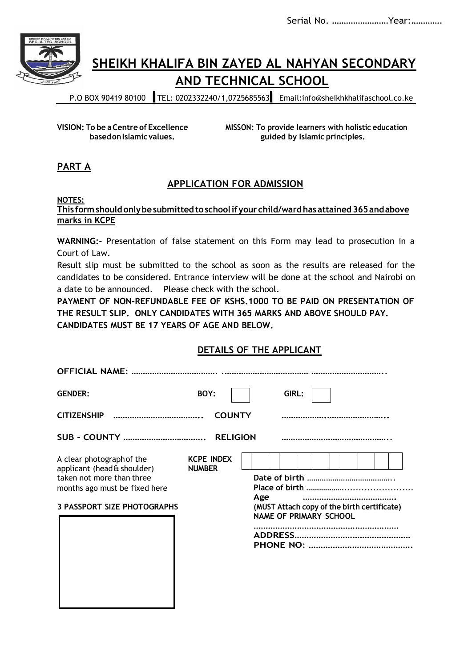Serial No. ……………………Year:………….



## **SHEIKH KHALIFA BIN ZAYED AL NAHYAN SECONDARY AND TECHNICAL SCHOOL**

P.O BOX 90419 80100 TEL: 0202332240/1,0725685563 [Email:info@sheikhkhalifaschool.co.ke](mailto:info@sheikhkhalifaschool.co.ke)

**VISION: To be aCentre of Excellence MISSON: To provide learners with holistic education basedonIslamicvalues. guided by Islamic principles.**

## **PART A**

## **APPLICATION FOR ADMISSION**

#### **NOTES:**

#### **This formshouldonlybesubmittedtoschoolifyour child/wardhas attained365andabove marks in KCPE**

**WARNING:-** Presentation of false statement on this Form may lead to prosecution in a Court of Law.

Result slip must be submitted to the school as soon as the results are released for the candidates to be considered. Entrance interview will be done at the school and Nairobi on a date to be announced. Please check with the school.

**PAYMENT OF NON-REFUNDABLE FEE OF KSHS.1000 TO BE PAID ON PRESENTATION OF THE RESULT SLIP. ONLY CANDIDATES WITH 365 MARKS AND ABOVE SHOULD PAY. CANDIDATES MUST BE 17 YEARS OF AGE AND BELOW.**

### **DETAILS OF THE APPLICANT**

| <b>OFFICIAL NAME:</b>                                                                                                                                        |                                    |                                                                                     |
|--------------------------------------------------------------------------------------------------------------------------------------------------------------|------------------------------------|-------------------------------------------------------------------------------------|
| <b>GENDER:</b>                                                                                                                                               | BOY:                               | GIRL:                                                                               |
|                                                                                                                                                              | <b>COUNTY</b>                      |                                                                                     |
|                                                                                                                                                              |                                    |                                                                                     |
| A clear photograph of the<br>applicant (head & shoulder)<br>taken not more than three<br>months ago must be fixed here<br><b>3 PASSPORT SIZE PHOTOGRAPHS</b> | <b>KCPE INDEX</b><br><b>NUMBER</b> | Age<br>(MUST Attach copy of the birth certificate)<br><b>NAME OF PRIMARY SCHOOL</b> |